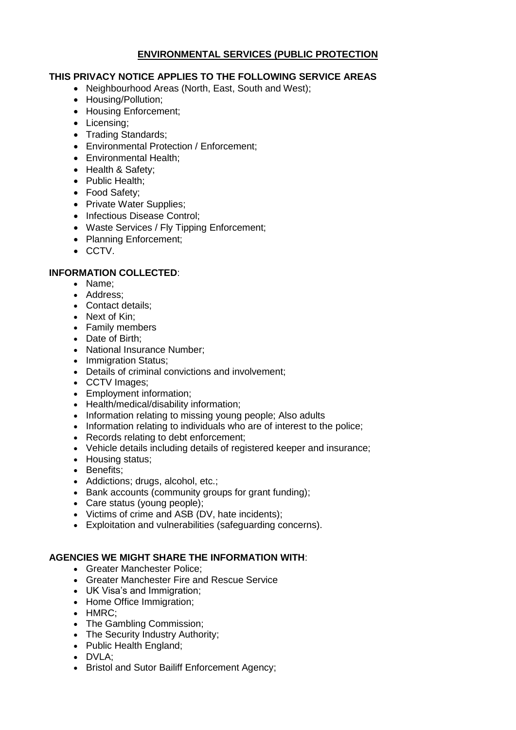# **ENVIRONMENTAL SERVICES (PUBLIC PROTECTION**

### **THIS PRIVACY NOTICE APPLIES TO THE FOLLOWING SERVICE AREAS**

- Neighbourhood Areas (North, East, South and West);
- Housing/Pollution;
- Housing Enforcement:
- Licensing;
- Trading Standards:
- Environmental Protection / Enforcement;
- Environmental Health:
- Health & Safety;
- Public Health;
- Food Safety;
- Private Water Supplies:
- Infectious Disease Control:
- Waste Services / Fly Tipping Enforcement;
- Planning Enforcement;
- CCTV.

### **INFORMATION COLLECTED**:

- Name:
- Address:
- Contact details:
- Next of Kin:
- Family members
- Date of Birth:
- National Insurance Number;
- Immigration Status;
- Details of criminal convictions and involvement;
- CCTV Images:
- Employment information;
- Health/medical/disability information;
- Information relating to missing young people; Also adults
- Information relating to individuals who are of interest to the police;
- Records relating to debt enforcement;
- Vehicle details including details of registered keeper and insurance;
- Housing status;
- Benefits:
- Addictions; drugs, alcohol, etc.;
- Bank accounts (community groups for grant funding);
- Care status (young people);
- Victims of crime and ASB (DV, hate incidents);
- Exploitation and vulnerabilities (safeguarding concerns).

# **AGENCIES WE MIGHT SHARE THE INFORMATION WITH**:

- Greater Manchester Police;
- Greater Manchester Fire and Rescue Service
- UK Visa's and Immigration;
- Home Office Immigration;
- HMRC:
- The Gambling Commission;
- The Security Industry Authority:
- Public Health England:
- DVLA;
- Bristol and Sutor Bailiff Enforcement Agency;